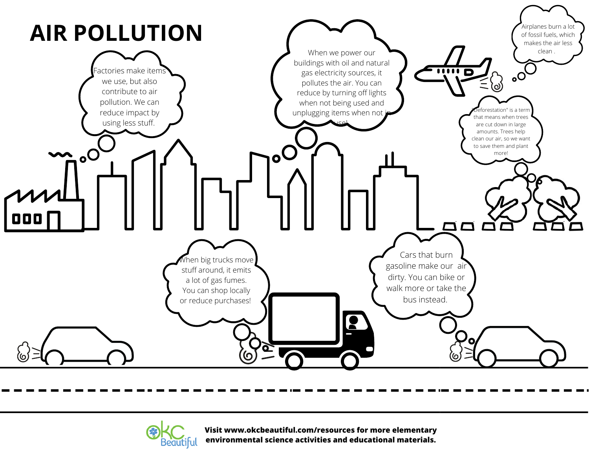



**Visit www.okcbeautiful.com/resources for more elementary environmental science activities and educational materials.**